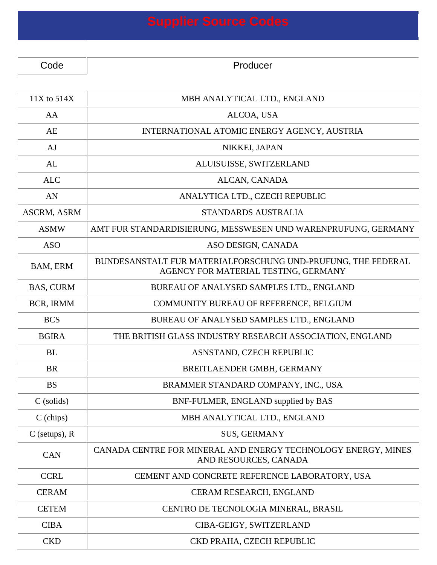| <b>Supplier Source Codes</b> |                                                                                                      |  |
|------------------------------|------------------------------------------------------------------------------------------------------|--|
|                              |                                                                                                      |  |
| Code                         | Producer                                                                                             |  |
|                              |                                                                                                      |  |
| 11X to 514X                  | MBH ANALYTICAL LTD., ENGLAND                                                                         |  |
| AA                           | ALCOA, USA                                                                                           |  |
| AE                           | INTERNATIONAL ATOMIC ENERGY AGENCY, AUSTRIA                                                          |  |
| AJ                           | NIKKEI, JAPAN                                                                                        |  |
| AL                           | ALUISUISSE, SWITZERLAND                                                                              |  |
| <b>ALC</b>                   | ALCAN, CANADA                                                                                        |  |
| AN                           | ANALYTICA LTD., CZECH REPUBLIC                                                                       |  |
| <b>ASCRM, ASRM</b>           | STANDARDS AUSTRALIA                                                                                  |  |
| <b>ASMW</b>                  | AMT FUR STANDARDISIERUNG, MESSWESEN UND WARENPRUFUNG, GERMANY                                        |  |
| <b>ASO</b>                   | ASO DESIGN, CANADA                                                                                   |  |
| BAM, ERM                     | BUNDESANSTALT FUR MATERIALFORSCHUNG UND-PRUFUNG, THE FEDERAL<br>AGENCY FOR MATERIAL TESTING, GERMANY |  |
| <b>BAS, CURM</b>             | BUREAU OF ANALYSED SAMPLES LTD., ENGLAND                                                             |  |
| BCR, IRMM                    | COMMUNITY BUREAU OF REFERENCE, BELGIUM                                                               |  |
| <b>BCS</b>                   | BUREAU OF ANALYSED SAMPLES LTD., ENGLAND                                                             |  |
| <b>BGIRA</b>                 | THE BRITISH GLASS INDUSTRY RESEARCH ASSOCIATION, ENGLAND                                             |  |
| <b>BL</b>                    | ASNSTAND, CZECH REPUBLIC                                                                             |  |
| <b>BR</b>                    | BREITLAENDER GMBH, GERMANY                                                                           |  |
| <b>BS</b>                    | BRAMMER STANDARD COMPANY, INC., USA                                                                  |  |
| $C$ (solids)                 | BNF-FULMER, ENGLAND supplied by BAS                                                                  |  |
| $C$ (chips)                  | MBH ANALYTICAL LTD., ENGLAND                                                                         |  |
| $C$ (setups), $R$            | <b>SUS, GERMANY</b>                                                                                  |  |
| <b>CAN</b>                   | CANADA CENTRE FOR MINERAL AND ENERGY TECHNOLOGY ENERGY, MINES<br>AND RESOURCES, CANADA               |  |
| <b>CCRL</b>                  | CEMENT AND CONCRETE REFERENCE LABORATORY, USA                                                        |  |
| <b>CERAM</b>                 | CERAM RESEARCH, ENGLAND                                                                              |  |
| <b>CETEM</b>                 | CENTRO DE TECNOLOGIA MINERAL, BRASIL                                                                 |  |
| <b>CIBA</b>                  | CIBA-GEIGY, SWITZERLAND                                                                              |  |
| CKD                          | CKD PRAHA, CZECH REPUBLIC                                                                            |  |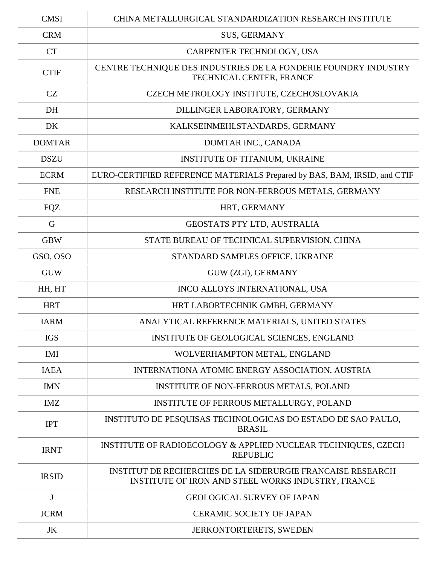| <b>CMSI</b>   | CHINA METALLURGICAL STANDARDIZATION RESEARCH INSTITUTE                                                           |
|---------------|------------------------------------------------------------------------------------------------------------------|
| <b>CRM</b>    | <b>SUS, GERMANY</b>                                                                                              |
| <b>CT</b>     | CARPENTER TECHNOLOGY, USA                                                                                        |
| <b>CTIF</b>   | CENTRE TECHNIQUE DES INDUSTRIES DE LA FONDERIE FOUNDRY INDUSTRY<br>TECHNICAL CENTER, FRANCE                      |
| CZ            | CZECH METROLOGY INSTITUTE, CZECHOSLOVAKIA                                                                        |
| DH            | DILLINGER LABORATORY, GERMANY                                                                                    |
| DK            | KALKSEINMEHLSTANDARDS, GERMANY                                                                                   |
| <b>DOMTAR</b> | DOMTAR INC., CANADA                                                                                              |
| <b>DSZU</b>   | INSTITUTE OF TITANIUM, UKRAINE                                                                                   |
| <b>ECRM</b>   | EURO-CERTIFIED REFERENCE MATERIALS Prepared by BAS, BAM, IRSID, and CTIF                                         |
| <b>FNE</b>    | RESEARCH INSTITUTE FOR NON-FERROUS METALS, GERMANY                                                               |
| <b>FQZ</b>    | HRT, GERMANY                                                                                                     |
| G             | GEOSTATS PTY LTD, AUSTRALIA                                                                                      |
| <b>GBW</b>    | STATE BUREAU OF TECHNICAL SUPERVISION, CHINA                                                                     |
| GSO, OSO      | STANDARD SAMPLES OFFICE, UKRAINE                                                                                 |
| <b>GUW</b>    | GUW (ZGI), GERMANY                                                                                               |
| HH, HT        | INCO ALLOYS INTERNATIONAL, USA                                                                                   |
| <b>HRT</b>    | HRT LABORTECHNIK GMBH, GERMANY                                                                                   |
| <b>IARM</b>   | ANALYTICAL REFERENCE MATERIALS, UNITED STATES                                                                    |
| <b>IGS</b>    | INSTITUTE OF GEOLOGICAL SCIENCES, ENGLAND                                                                        |
| <b>IMI</b>    | WOLVERHAMPTON METAL, ENGLAND                                                                                     |
| <b>IAEA</b>   | INTERNATIONA ATOMIC ENERGY ASSOCIATION, AUSTRIA                                                                  |
| <b>IMN</b>    | <b>INSTITUTE OF NON-FERROUS METALS, POLAND</b>                                                                   |
| <b>IMZ</b>    | INSTITUTE OF FERROUS METALLURGY, POLAND                                                                          |
| <b>IPT</b>    | INSTITUTO DE PESQUISAS TECHNOLOGICAS DO ESTADO DE SAO PAULO,<br><b>BRASIL</b>                                    |
| <b>IRNT</b>   | INSTITUTE OF RADIOECOLOGY & APPLIED NUCLEAR TECHNIQUES, CZECH<br><b>REPUBLIC</b>                                 |
| <b>IRSID</b>  | INSTITUT DE RECHERCHES DE LA SIDERURGIE FRANCAISE RESEARCH<br>INSTITUTE OF IRON AND STEEL WORKS INDUSTRY, FRANCE |
| $\mathbf{J}$  | <b>GEOLOGICAL SURVEY OF JAPAN</b>                                                                                |
| <b>JCRM</b>   | <b>CERAMIC SOCIETY OF JAPAN</b>                                                                                  |
| JK            | <b>JERKONTORTERETS, SWEDEN</b>                                                                                   |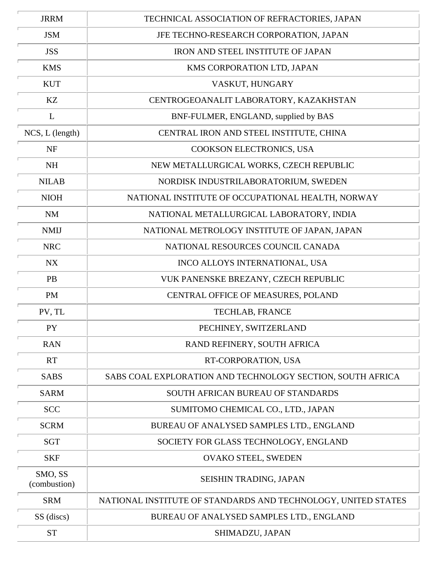| <b>JRRM</b>             | TECHNICAL ASSOCIATION OF REFRACTORIES, JAPAN                  |
|-------------------------|---------------------------------------------------------------|
| <b>JSM</b>              | JFE TECHNO-RESEARCH CORPORATION, JAPAN                        |
| <b>JSS</b>              | IRON AND STEEL INSTITUTE OF JAPAN                             |
| <b>KMS</b>              | KMS CORPORATION LTD, JAPAN                                    |
| <b>KUT</b>              | VASKUT, HUNGARY                                               |
| KZ                      | CENTROGEOANALIT LABORATORY, KAZAKHSTAN                        |
| L                       | BNF-FULMER, ENGLAND, supplied by BAS                          |
| NCS, L (length)         | CENTRAL IRON AND STEEL INSTITUTE, CHINA                       |
| NF                      | COOKSON ELECTRONICS, USA                                      |
| NH                      | NEW METALLURGICAL WORKS, CZECH REPUBLIC                       |
| <b>NILAB</b>            | NORDISK INDUSTRILABORATORIUM, SWEDEN                          |
| <b>NIOH</b>             | NATIONAL INSTITUTE OF OCCUPATIONAL HEALTH, NORWAY             |
| NM                      | NATIONAL METALLURGICAL LABORATORY, INDIA                      |
| <b>NMIJ</b>             | NATIONAL METROLOGY INSTITUTE OF JAPAN, JAPAN                  |
| <b>NRC</b>              | NATIONAL RESOURCES COUNCIL CANADA                             |
| <b>NX</b>               | INCO ALLOYS INTERNATIONAL, USA                                |
| <b>PB</b>               | VUK PANENSKE BREZANY, CZECH REPUBLIC                          |
| PM                      | CENTRAL OFFICE OF MEASURES, POLAND                            |
| PV, TL                  | TECHLAB, FRANCE                                               |
| PY                      | PECHINEY, SWITZERLAND                                         |
| <b>RAN</b>              | RAND REFINERY, SOUTH AFRICA                                   |
| <b>RT</b>               | RT-CORPORATION, USA                                           |
| <b>SABS</b>             | SABS COAL EXPLORATION AND TECHNOLOGY SECTION, SOUTH AFRICA    |
| <b>SARM</b>             | SOUTH AFRICAN BUREAU OF STANDARDS                             |
| <b>SCC</b>              | SUMITOMO CHEMICAL CO., LTD., JAPAN                            |
| <b>SCRM</b>             | BUREAU OF ANALYSED SAMPLES LTD., ENGLAND                      |
| <b>SGT</b>              | SOCIETY FOR GLASS TECHNOLOGY, ENGLAND                         |
| <b>SKF</b>              | <b>OVAKO STEEL, SWEDEN</b>                                    |
| SMO, SS<br>(combustion) | SEISHIN TRADING, JAPAN                                        |
| <b>SRM</b>              | NATIONAL INSTITUTE OF STANDARDS AND TECHNOLOGY, UNITED STATES |
| SS (discs)              | BUREAU OF ANALYSED SAMPLES LTD., ENGLAND                      |
| <b>ST</b>               | SHIMADZU, JAPAN                                               |